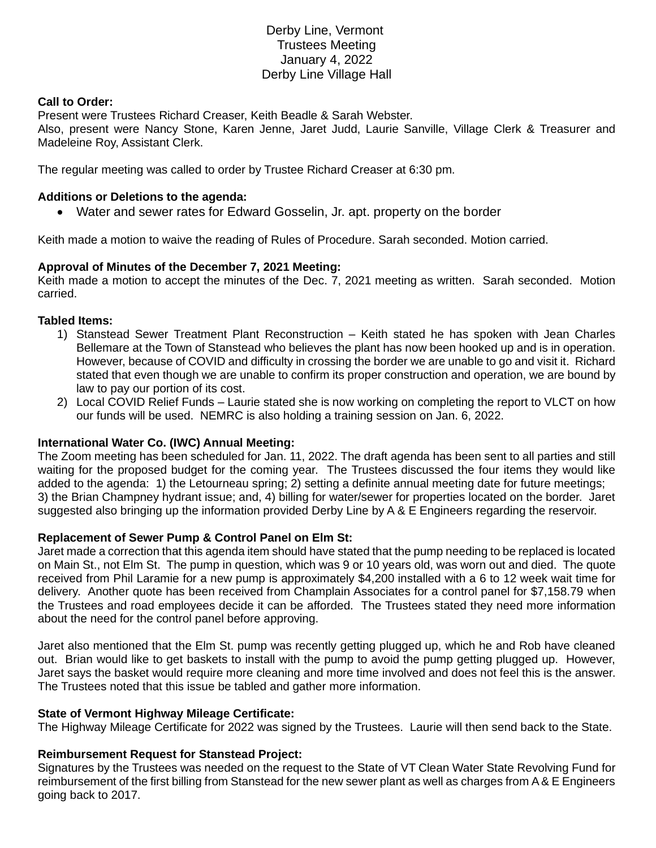# Derby Line, Vermont Trustees Meeting January 4, 2022 Derby Line Village Hall

### **Call to Order:**

Present were Trustees Richard Creaser, Keith Beadle & Sarah Webster.

Also, present were Nancy Stone, Karen Jenne, Jaret Judd, Laurie Sanville, Village Clerk & Treasurer and Madeleine Roy, Assistant Clerk.

The regular meeting was called to order by Trustee Richard Creaser at 6:30 pm.

### **Additions or Deletions to the agenda:**

• Water and sewer rates for Edward Gosselin, Jr. apt. property on the border

Keith made a motion to waive the reading of Rules of Procedure. Sarah seconded. Motion carried.

### **Approval of Minutes of the December 7, 2021 Meeting:**

Keith made a motion to accept the minutes of the Dec. 7, 2021 meeting as written. Sarah seconded. Motion carried.

#### **Tabled Items:**

- 1) Stanstead Sewer Treatment Plant Reconstruction Keith stated he has spoken with Jean Charles Bellemare at the Town of Stanstead who believes the plant has now been hooked up and is in operation. However, because of COVID and difficulty in crossing the border we are unable to go and visit it. Richard stated that even though we are unable to confirm its proper construction and operation, we are bound by law to pay our portion of its cost.
- 2) Local COVID Relief Funds Laurie stated she is now working on completing the report to VLCT on how our funds will be used. NEMRC is also holding a training session on Jan. 6, 2022.

## **International Water Co. (IWC) Annual Meeting:**

The Zoom meeting has been scheduled for Jan. 11, 2022. The draft agenda has been sent to all parties and still waiting for the proposed budget for the coming year. The Trustees discussed the four items they would like added to the agenda: 1) the Letourneau spring; 2) setting a definite annual meeting date for future meetings; 3) the Brian Champney hydrant issue; and, 4) billing for water/sewer for properties located on the border. Jaret suggested also bringing up the information provided Derby Line by A & E Engineers regarding the reservoir.

## **Replacement of Sewer Pump & Control Panel on Elm St:**

Jaret made a correction that this agenda item should have stated that the pump needing to be replaced is located on Main St., not Elm St. The pump in question, which was 9 or 10 years old, was worn out and died. The quote received from Phil Laramie for a new pump is approximately \$4,200 installed with a 6 to 12 week wait time for delivery. Another quote has been received from Champlain Associates for a control panel for \$7,158.79 when the Trustees and road employees decide it can be afforded. The Trustees stated they need more information about the need for the control panel before approving.

Jaret also mentioned that the Elm St. pump was recently getting plugged up, which he and Rob have cleaned out. Brian would like to get baskets to install with the pump to avoid the pump getting plugged up. However, Jaret says the basket would require more cleaning and more time involved and does not feel this is the answer. The Trustees noted that this issue be tabled and gather more information.

#### **State of Vermont Highway Mileage Certificate:**

The Highway Mileage Certificate for 2022 was signed by the Trustees. Laurie will then send back to the State.

#### **Reimbursement Request for Stanstead Project:**

Signatures by the Trustees was needed on the request to the State of VT Clean Water State Revolving Fund for reimbursement of the first billing from Stanstead for the new sewer plant as well as charges from A & E Engineers going back to 2017.